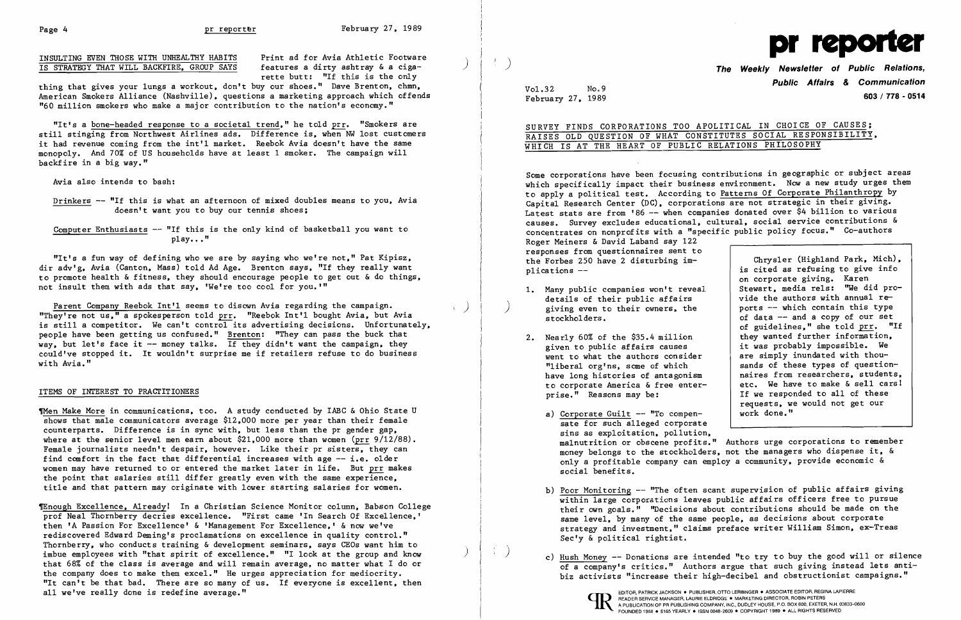INSULTING EVEN THOSE WITH UNHEALTHY HABITS Print ad for Avia Athletic Footware<br>IS STRATEGY THAT WILL BACKFIRE, GROUP SAYS features a dirty ashtray & a ciga-IS STRATEGY THAT WILL BACKFIRE, GROUP SAYS

rette butt: "If this is the only

thing that gives your lungs a workout, don't buy our shoes." Dave Brenton, chmn, American Smokers Alliance (Nashville), questions a marketing approach which offends "60 million smokers who make a major contribution to the nation's economy."

Drinkers -- "If this is what an afternoon of mixed doubles means to you, Avia doesn't want you to buy our tennis shoes;

Computer Enthusiasts  $-$  "If this is the only kind of basketball you want to  $p1av...$ "

"It's a bone-headed response to a societal trend," he told prr, "Smokers are still stinging from Northwest Airlines ads. Difference is, when NW lost customers it had revenue coming from the int'l market. Reebok Avia doesn't have the same monopoly. And 70% of US households have at least 1 smoker. The campaign will backfire in a big way."

Avia also intends to bash:

Parent Company Reebok Int'l seems to disown Avia regarding the campaign.<br>"They're not us," a spokesperson told prr. "Reebok Int'l bought Avia, but Avia is still a competitor. We can't control its advertising decisions. Unfortunately, people have been getting us confused." Brenton: "They can pass the buck that way, but let's face it  $-$  money talks. If they didn't want the campaign, they could've stopped it. It wouldn't surprise me if retailers refuse to do business with Avia."

"It's a fun way of defining who we are by saying who we're not," Pat Kipisz, dir adv'g, Avia (Canton, Mass) told Ad Age. Brenton says, "If they really want to promote health &fitness, they should encourage people to get out & do things, not insult them with ads that say, 'We're too cool for you. "'

Then Make More in communications, too. A study conducted by IABC & Ohio State U shows that male communicators average \$12,000 more per year than their female counterparts. Difference is in sync with, but less than the pr gender gap, where at the senior level men earn about \$21,000 more than women (prr 9/12/88). Female journalists needn't despair, however. Like their pr sisters, they can find comfort in the fact that differential increases with age  $-$  i.e. older women may have returned to or entered the market later in life. But prr makes the point that salaries still differ greatly even with the same experience, title and that pattern may originate with lower starting salaries for women.

~nough Excellence, Alreadyl In a Christian Science Monitor column, Babson College prof Neal Thornberry decries excellence. "First came 'In Search Of Excellence,' then 'A Passion For Excellence' & 'Management For Excellence,' & now we've rediscovered Edward Deming's proclamations on excellence in quality control." Thornberry, who conducts training & development seminars, says GEOs want him to imbue employees with "that spirit of excellence." "I look at the group and know that 68% of the class is average and will remain average, no matter what I do or the company does to make them excel." He urges appreciation for mediocrity. "It can't be that bad. There are so many of us. If everyone is excellent, then all we've really done is redefine average."

Some corporations have been focusing contributions in geographic or subject areas which specifically impact their business environment. Now a new study urges them to apply a political test. According to Patterns Of Corporate Philanthropy by Capital Research Center (DC), corporations are not strategic in their giving. Latest stats are from '86 -- when companies donated over \$4 billion to various causes. Survey excludes educational, cultural, social service contributions & concentrates on nonprofits with a "specific public policy focus." Co-authors Roger Meiners & David Laband say 122 responses from questionnaires sent to the Forbes 250 have 2 disturbing im-<br>plications --<br>is cited as refusing to give info is cited as refusing to give info

## ITEMS OF INTEREST TO PRACTITIONERS

on corporate giving. Karen Stewart, media re1s: ''We did provide the authors with annual re of data  $-$  and a copy of our set of guidelines," she told prr. "If they wanted further information, it was probably impossible. We<br>are simply inundated with thouhave long histories of antagonism | naires from researchers, students,<br>to corporate America & free enter- | etc. We have to make & sell cars! to corporate America & free enter-<br>prise." Reasons may be:<br>If we responded to all of these If we responded to all of these requests, we would not get our<br>work done."

b) Poor Monitoring -- "The often scant supervision of public affairs giving  $\overline{\text{within large}}$  corporations leaves public affairs officers free to pursue their own goals." ''Decisions about contributions should be made on the same level, by many of the same people, as decisions about corporate strategy and investment," claims preface writer William Simon, ex-Treas

- details of their public affairs<br>giving even to their owners, the 1. Many public companies won't reveal giving even to their owners, the ports  $-$  which contain this type stockholders.<br>of data  $-$  and a copy of our set
- given to public affairs causes 2. Nearly 60% of the \$35.4 million went to what the authors consider "liberal org'ns, some of which "liberal org'ns, some of which sands of these types of question-<br>have long histories of antagonism aires from researchers, students
	- a) Corporate Guilt  $--$  "To compensate for such alleged corporate sins as exploitation, pollution, social benefits.
	- Sec'y & political rightist.
	-



) **The Weekly Newsletter of Public Relations, Public Affairs & Communication**  February **603/ 778 - <sup>0514</sup>**27, 1989

Vo1.32 No.9

SURVEY FINDS CORPORATIONS TOO APOLITICAL IN CHOICE OF CAUSES; RAISES OLD QUESTION OF WHAT CONSTITUTES SOCIAL RESPONSIBILITY, WHICH IS AT THE HEART OF PUBLIC RELATIONS PHILOSOPHY

malnutrition or obscene profits." Authors urge corporations to remember money belongs to the stockholders, not the managers who dispense it, & only a profitable company can employ a community, provide economic &

) c) Hush Money -- Donations are intended "to try to buy the good will or silence of a company's critics." Authors argue that such giving instead lets antibiz activists "increase their high-decibel and obstructionist campaigns."